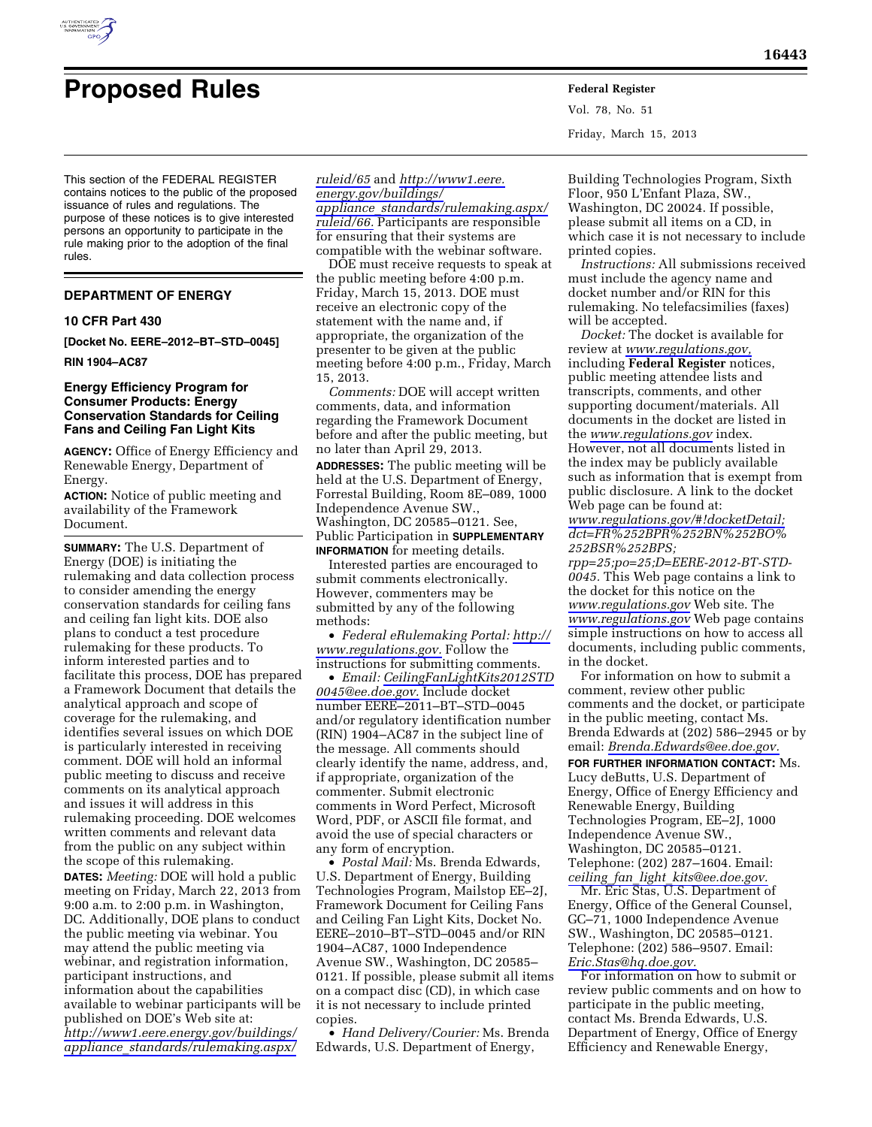

# **Proposed Rules Federal Register**

This section of the FEDERAL REGISTER contains notices to the public of the proposed issuance of rules and regulations. The purpose of these notices is to give interested persons an opportunity to participate in the rule making prior to the adoption of the final rules.

# **DEPARTMENT OF ENERGY**

# **10 CFR Part 430**

**[Docket No. EERE–2012–BT–STD–0045]** 

**RIN 1904–AC87** 

# **Energy Efficiency Program for Consumer Products: Energy Conservation Standards for Ceiling Fans and Ceiling Fan Light Kits**

**AGENCY:** Office of Energy Efficiency and Renewable Energy, Department of Energy.

**ACTION:** Notice of public meeting and availability of the Framework Document.

**SUMMARY:** The U.S. Department of Energy (DOE) is initiating the rulemaking and data collection process to consider amending the energy conservation standards for ceiling fans and ceiling fan light kits. DOE also plans to conduct a test procedure rulemaking for these products. To inform interested parties and to facilitate this process, DOE has prepared a Framework Document that details the analytical approach and scope of coverage for the rulemaking, and identifies several issues on which DOE is particularly interested in receiving comment. DOE will hold an informal public meeting to discuss and receive comments on its analytical approach and issues it will address in this rulemaking proceeding. DOE welcomes written comments and relevant data from the public on any subject within the scope of this rulemaking.

**DATES:** *Meeting:* DOE will hold a public meeting on Friday, March 22, 2013 from 9:00 a.m. to 2:00 p.m. in Washington, DC. Additionally, DOE plans to conduct the public meeting via webinar. You may attend the public meeting via webinar, and registration information, participant instructions, and information about the capabilities available to webinar participants will be published on DOE's Web site at: *[http://www1.eere.energy.gov/buildings/](http://www1.eere.energy.gov/buildings/appliance_standards/rulemaking.aspx/ruleid/65) appliance*\_*[standards/rulemaking.aspx/](http://www1.eere.energy.gov/buildings/appliance_standards/rulemaking.aspx/ruleid/65)* 

*[ruleid/65](http://www1.eere.energy.gov/buildings/appliance_standards/rulemaking.aspx/ruleid/65)* and *[http://www1.eere.](http://www1.eere.energy.gov/buildings/appliance_standards/rulemaking.aspx/ruleid/66) [energy.gov/buildings/](http://www1.eere.energy.gov/buildings/appliance_standards/rulemaking.aspx/ruleid/66) appliance*\_*[standards/rulemaking.aspx/](http://www1.eere.energy.gov/buildings/appliance_standards/rulemaking.aspx/ruleid/66)  [ruleid/66.](http://www1.eere.energy.gov/buildings/appliance_standards/rulemaking.aspx/ruleid/66)* Participants are responsible for ensuring that their systems are compatible with the webinar software.

DOE must receive requests to speak at the public meeting before 4:00 p.m. Friday, March 15, 2013. DOE must receive an electronic copy of the statement with the name and, if appropriate, the organization of the presenter to be given at the public meeting before 4:00 p.m., Friday, March 15, 2013.

*Comments:* DOE will accept written comments, data, and information regarding the Framework Document before and after the public meeting, but no later than April 29, 2013.

**ADDRESSES:** The public meeting will be held at the U.S. Department of Energy, Forrestal Building, Room 8E–089, 1000 Independence Avenue SW., Washington, DC 20585–0121. See, Public Participation in **SUPPLEMENTARY INFORMATION** for meeting details.

Interested parties are encouraged to submit comments electronically. However, commenters may be submitted by any of the following methods:

• *Federal eRulemaking Portal: [http://](http://www.regulations.gov)  [www.regulations.gov.](http://www.regulations.gov)* Follow the instructions for submitting comments.

• *Email: [CeilingFanLightKits2012STD](mailto:CeilingFanLightKits2012STD0045@ee.doe.gov) [0045@ee.doe.gov.](mailto:CeilingFanLightKits2012STD0045@ee.doe.gov)* Include docket number EERE–2011–BT–STD–0045 and/or regulatory identification number (RIN) 1904–AC87 in the subject line of the message. All comments should clearly identify the name, address, and, if appropriate, organization of the commenter. Submit electronic comments in Word Perfect, Microsoft Word, PDF, or ASCII file format, and avoid the use of special characters or any form of encryption.

• *Postal Mail:* Ms. Brenda Edwards, U.S. Department of Energy, Building Technologies Program, Mailstop EE–2J, Framework Document for Ceiling Fans and Ceiling Fan Light Kits, Docket No. EERE–2010–BT–STD–0045 and/or RIN 1904–AC87, 1000 Independence Avenue SW., Washington, DC 20585– 0121. If possible, please submit all items on a compact disc (CD), in which case it is not necessary to include printed copies.

• *Hand Delivery/Courier:* Ms. Brenda Edwards, U.S. Department of Energy,

Vol. 78, No. 51 Friday, March 15, 2013

Building Technologies Program, Sixth Floor, 950 L'Enfant Plaza, SW., Washington, DC 20024. If possible, please submit all items on a CD, in which case it is not necessary to include printed copies.

*Instructions:* All submissions received must include the agency name and docket number and/or RIN for this rulemaking. No telefacsimilies (faxes) will be accepted.

*Docket:* The docket is available for review at *[www.regulations.gov,](http://www.regulations.gov)*  including **Federal Register** notices, public meeting attendee lists and transcripts, comments, and other supporting document/materials. All documents in the docket are listed in the *[www.regulations.gov](http://www.regulations.gov)* index. However, not all documents listed in the index may be publicly available such as information that is exempt from public disclosure. A link to the docket Web page can be found at: *[www.regulations.gov/#!docketDetail;](http://www.regulations.gov/#!docketDetail) dct=FR%252BPR%252BN%252BO% 252BSR%252BPS;*

*rpp=25;po=25;D=EERE-2012-BT-STD-0045.* This Web page contains a link to the docket for this notice on the *[www.regulations.gov](http://www.regulations.gov)* Web site. The *[www.regulations.gov](http://www.regulations.gov)* Web page contains simple instructions on how to access all documents, including public comments, in the docket.

For information on how to submit a comment, review other public comments and the docket, or participate in the public meeting, contact Ms. Brenda Edwards at (202) 586–2945 or by email: *[Brenda.Edwards@ee.doe.gov.](mailto:Brenda.Edwards@ee.doe.gov)* 

**FOR FURTHER INFORMATION CONTACT:** Ms. Lucy deButts, U.S. Department of Energy, Office of Energy Efficiency and Renewable Energy, Building Technologies Program, EE–2J, 1000 Independence Avenue SW., Washington, DC 20585–0121. Telephone: (202) 287–1604. Email: *ceiling*\_*fan*\_*light*\_*[kits@ee.doe.gov.](mailto:ceiling_fan_light_kits@ee.doe.gov)* 

Mr. Eric Stas, U.S. Department of Energy, Office of the General Counsel, GC–71, 1000 Independence Avenue SW., Washington, DC 20585–0121. Telephone: (202) 586–9507. Email: *[Eric.Stas@hq.doe.gov.](mailto:Eric.Stas@hq.doe.gov)* 

For information on how to submit or review public comments and on how to participate in the public meeting, contact Ms. Brenda Edwards, U.S. Department of Energy, Office of Energy Efficiency and Renewable Energy,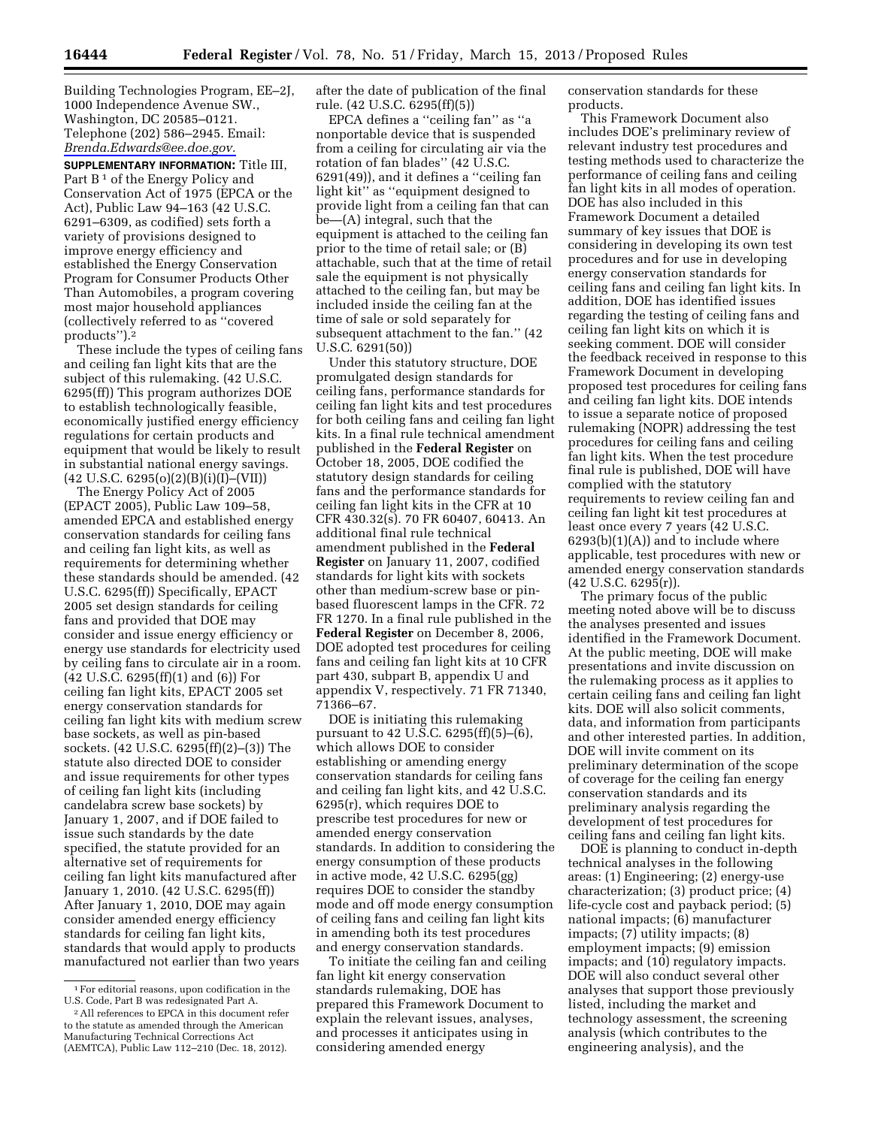Building Technologies Program, EE–2J, 1000 Independence Avenue SW., Washington, DC 20585–0121. Telephone (202) 586–2945. Email: *[Brenda.Edwards@ee.doe.gov.](mailto:Brenda.Edwards@ee.doe.gov)* 

**SUPPLEMENTARY INFORMATION:** Title III, Part B<sup>1</sup> of the Energy Policy and Conservation Act of 1975 (EPCA or the Act), Public Law 94–163 (42 U.S.C. 6291–6309, as codified) sets forth a variety of provisions designed to improve energy efficiency and established the Energy Conservation Program for Consumer Products Other Than Automobiles, a program covering most major household appliances (collectively referred to as ''covered products'').2

These include the types of ceiling fans and ceiling fan light kits that are the subject of this rulemaking. (42 U.S.C. 6295(ff)) This program authorizes DOE to establish technologically feasible, economically justified energy efficiency regulations for certain products and equipment that would be likely to result in substantial national energy savings.  $(42 \text{ U.S.C. } 6295(o)(2)(B)(i)(I)–(VII))$ 

The Energy Policy Act of 2005 (EPACT 2005), Public Law 109–58, amended EPCA and established energy conservation standards for ceiling fans and ceiling fan light kits, as well as requirements for determining whether these standards should be amended. (42 U.S.C. 6295(ff)) Specifically, EPACT 2005 set design standards for ceiling fans and provided that DOE may consider and issue energy efficiency or energy use standards for electricity used by ceiling fans to circulate air in a room. (42 U.S.C. 6295(ff)(1) and (6)) For ceiling fan light kits, EPACT 2005 set energy conservation standards for ceiling fan light kits with medium screw base sockets, as well as pin-based sockets. (42 U.S.C. 6295(ff)(2)–(3)) The statute also directed DOE to consider and issue requirements for other types of ceiling fan light kits (including candelabra screw base sockets) by January 1, 2007, and if DOE failed to issue such standards by the date specified, the statute provided for an alternative set of requirements for ceiling fan light kits manufactured after January 1, 2010. (42 U.S.C. 6295(ff)) After January 1, 2010, DOE may again consider amended energy efficiency standards for ceiling fan light kits, standards that would apply to products manufactured not earlier than two years

after the date of publication of the final rule. (42 U.S.C. 6295(ff)(5))

EPCA defines a ''ceiling fan'' as ''a nonportable device that is suspended from a ceiling for circulating air via the rotation of fan blades'' (42 U.S.C. 6291(49)), and it defines a ''ceiling fan light kit'' as ''equipment designed to provide light from a ceiling fan that can be—(A) integral, such that the equipment is attached to the ceiling fan prior to the time of retail sale; or (B) attachable, such that at the time of retail sale the equipment is not physically attached to the ceiling fan, but may be included inside the ceiling fan at the time of sale or sold separately for subsequent attachment to the fan.'' (42 U.S.C. 6291(50))

Under this statutory structure, DOE promulgated design standards for ceiling fans, performance standards for ceiling fan light kits and test procedures for both ceiling fans and ceiling fan light kits. In a final rule technical amendment published in the **Federal Register** on October 18, 2005, DOE codified the statutory design standards for ceiling fans and the performance standards for ceiling fan light kits in the CFR at 10 CFR 430.32(s). 70 FR 60407, 60413. An additional final rule technical amendment published in the **Federal Register** on January 11, 2007, codified standards for light kits with sockets other than medium-screw base or pinbased fluorescent lamps in the CFR. 72 FR 1270. In a final rule published in the **Federal Register** on December 8, 2006, DOE adopted test procedures for ceiling fans and ceiling fan light kits at 10 CFR part 430, subpart B, appendix U and appendix V, respectively. 71 FR 71340, 71366–67.

DOE is initiating this rulemaking pursuant to 42 U.S.C. 6295(ff)(5)–(6), which allows DOE to consider establishing or amending energy conservation standards for ceiling fans and ceiling fan light kits, and 42 U.S.C. 6295(r), which requires DOE to prescribe test procedures for new or amended energy conservation standards. In addition to considering the energy consumption of these products in active mode, 42 U.S.C. 6295(gg) requires DOE to consider the standby mode and off mode energy consumption of ceiling fans and ceiling fan light kits in amending both its test procedures and energy conservation standards.

To initiate the ceiling fan and ceiling fan light kit energy conservation standards rulemaking, DOE has prepared this Framework Document to explain the relevant issues, analyses, and processes it anticipates using in considering amended energy

conservation standards for these products.

This Framework Document also includes DOE's preliminary review of relevant industry test procedures and testing methods used to characterize the performance of ceiling fans and ceiling fan light kits in all modes of operation. DOE has also included in this Framework Document a detailed summary of key issues that DOE is considering in developing its own test procedures and for use in developing energy conservation standards for ceiling fans and ceiling fan light kits. In addition, DOE has identified issues regarding the testing of ceiling fans and ceiling fan light kits on which it is seeking comment. DOE will consider the feedback received in response to this Framework Document in developing proposed test procedures for ceiling fans and ceiling fan light kits. DOE intends to issue a separate notice of proposed rulemaking (NOPR) addressing the test procedures for ceiling fans and ceiling fan light kits. When the test procedure final rule is published, DOE will have complied with the statutory requirements to review ceiling fan and ceiling fan light kit test procedures at least once every 7 years (42 U.S.C.  $6293(b)(1)(A)$  and to include where applicable, test procedures with new or amended energy conservation standards (42 U.S.C. 6295(r)).

The primary focus of the public meeting noted above will be to discuss the analyses presented and issues identified in the Framework Document. At the public meeting, DOE will make presentations and invite discussion on the rulemaking process as it applies to certain ceiling fans and ceiling fan light kits. DOE will also solicit comments, data, and information from participants and other interested parties. In addition, DOE will invite comment on its preliminary determination of the scope of coverage for the ceiling fan energy conservation standards and its preliminary analysis regarding the development of test procedures for ceiling fans and ceiling fan light kits.

DOE is planning to conduct in-depth technical analyses in the following areas: (1) Engineering; (2) energy-use characterization; (3) product price; (4) life-cycle cost and payback period; (5) national impacts; (6) manufacturer impacts; (7) utility impacts; (8) employment impacts; (9) emission impacts; and (10) regulatory impacts. DOE will also conduct several other analyses that support those previously listed, including the market and technology assessment, the screening analysis (which contributes to the engineering analysis), and the

<sup>1</sup>For editorial reasons, upon codification in the U.S. Code, Part B was redesignated Part A.

<sup>2</sup>All references to EPCA in this document refer to the statute as amended through the American Manufacturing Technical Corrections Act (AEMTCA), Public Law 112–210 (Dec. 18, 2012).